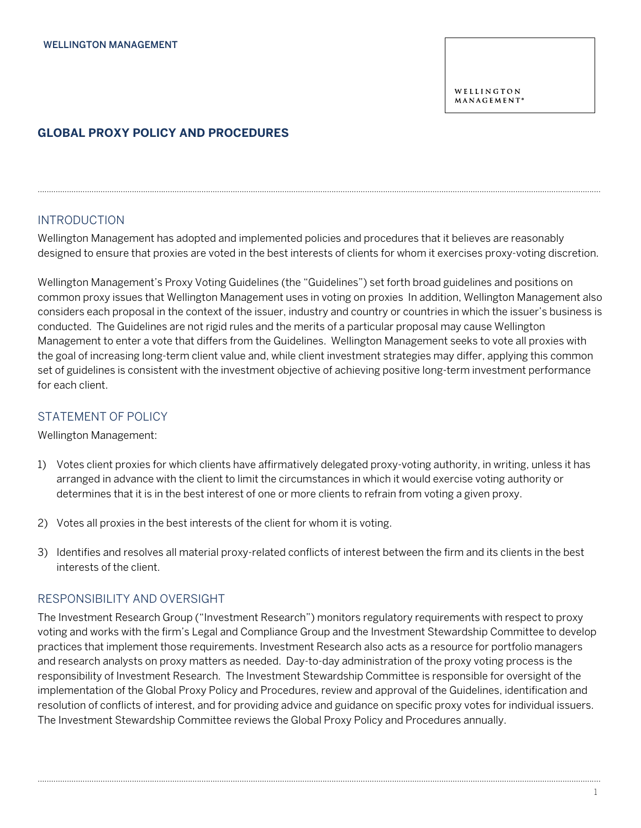# **GLOBAL PROXY POLICY AND PROCEDURES**

## INTRODUCTION

Wellington Management has adopted and implemented policies and procedures that it believes are reasonably designed to ensure that proxies are voted in the best interests of clients for whom it exercises proxy-voting discretion.

...........................................................................................................................................................................................................................................................

Wellington Management's Proxy Voting Guidelines (the "Guidelines") set forth broad guidelines and positions on common proxy issues that Wellington Management uses in voting on proxies In addition, Wellington Management also considers each proposal in the context of the issuer, industry and country or countries in which the issuer's business is conducted. The Guidelines are not rigid rules and the merits of a particular proposal may cause Wellington Management to enter a vote that differs from the Guidelines. Wellington Management seeks to vote all proxies with the goal of increasing long-term client value and, while client investment strategies may differ, applying this common set of guidelines is consistent with the investment objective of achieving positive long-term investment performance for each client.

## STATEMENT OF POLICY

Wellington Management:

- 1) Votes client proxies for which clients have affirmatively delegated proxy-voting authority, in writing, unless it has arranged in advance with the client to limit the circumstances in which it would exercise voting authority or determines that it is in the best interest of one or more clients to refrain from voting a given proxy.
- 2) Votes all proxies in the best interests of the client for whom it is voting.
- 3) Identifies and resolves all material proxy-related conflicts of interest between the firm and its clients in the best interests of the client.

## RESPONSIBILITY AND OVERSIGHT

The Investment Research Group ("Investment Research") monitors regulatory requirements with respect to proxy voting and works with the firm's Legal and Compliance Group and the Investment Stewardship Committee to develop practices that implement those requirements. Investment Research also acts as a resource for portfolio managers and research analysts on proxy matters as needed. Day-to-day administration of the proxy voting process is the responsibility of Investment Research. The Investment Stewardship Committee is responsible for oversight of the implementation of the Global Proxy Policy and Procedures, review and approval of the Guidelines, identification and resolution of conflicts of interest, and for providing advice and guidance on specific proxy votes for individual issuers. The Investment Stewardship Committee reviews the Global Proxy Policy and Procedures annually.

...........................................................................................................................................................................................................................................................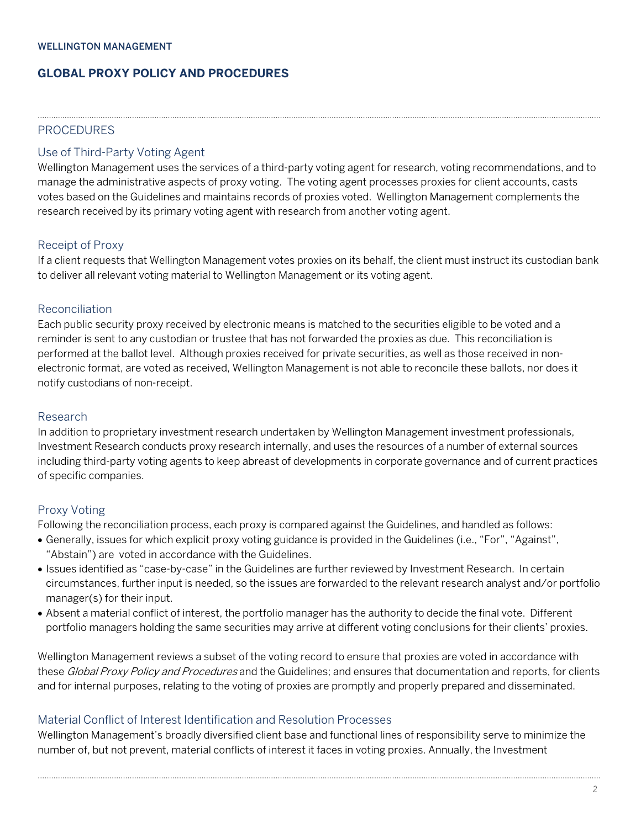#### WELLINGTON MANAGEMENT

# **GLOBAL PROXY POLICY AND PROCEDURES**

### **PROCEDURES**

## Use of Third-Party Voting Agent

Wellington Management uses the services of a third-party voting agent for research, voting recommendations, and to manage the administrative aspects of proxy voting. The voting agent processes proxies for client accounts, casts votes based on the Guidelines and maintains records of proxies voted. Wellington Management complements the research received by its primary voting agent with research from another voting agent.

...........................................................................................................................................................................................................................................................

### Receipt of Proxy

If a client requests that Wellington Management votes proxies on its behalf, the client must instruct its custodian bank to deliver all relevant voting material to Wellington Management or its voting agent.

### Reconciliation

Each public security proxy received by electronic means is matched to the securities eligible to be voted and a reminder is sent to any custodian or trustee that has not forwarded the proxies as due. This reconciliation is performed at the ballot level. Although proxies received for private securities, as well as those received in nonelectronic format, are voted as received, Wellington Management is not able to reconcile these ballots, nor does it notify custodians of non-receipt.

### Research

In addition to proprietary investment research undertaken by Wellington Management investment professionals, Investment Research conducts proxy research internally, and uses the resources of a number of external sources including third-party voting agents to keep abreast of developments in corporate governance and of current practices of specific companies.

#### Proxy Voting

Following the reconciliation process, each proxy is compared against the Guidelines, and handled as follows:

- Generally, issues for which explicit proxy voting guidance is provided in the Guidelines (i.e., "For", "Against", "Abstain") are voted in accordance with the Guidelines.
- Issues identified as "case-by-case" in the Guidelines are further reviewed by Investment Research. In certain circumstances, further input is needed, so the issues are forwarded to the relevant research analyst and/or portfolio manager(s) for their input.
- Absent a material conflict of interest, the portfolio manager has the authority to decide the final vote. Different portfolio managers holding the same securities may arrive at different voting conclusions for their clients' proxies.

Wellington Management reviews a subset of the voting record to ensure that proxies are voted in accordance with these Global Proxy Policy and Procedures and the Guidelines; and ensures that documentation and reports, for clients and for internal purposes, relating to the voting of proxies are promptly and properly prepared and disseminated.

## Material Conflict of Interest Identification and Resolution Processes

Wellington Management's broadly diversified client base and functional lines of responsibility serve to minimize the number of, but not prevent, material conflicts of interest it faces in voting proxies. Annually, the Investment

...........................................................................................................................................................................................................................................................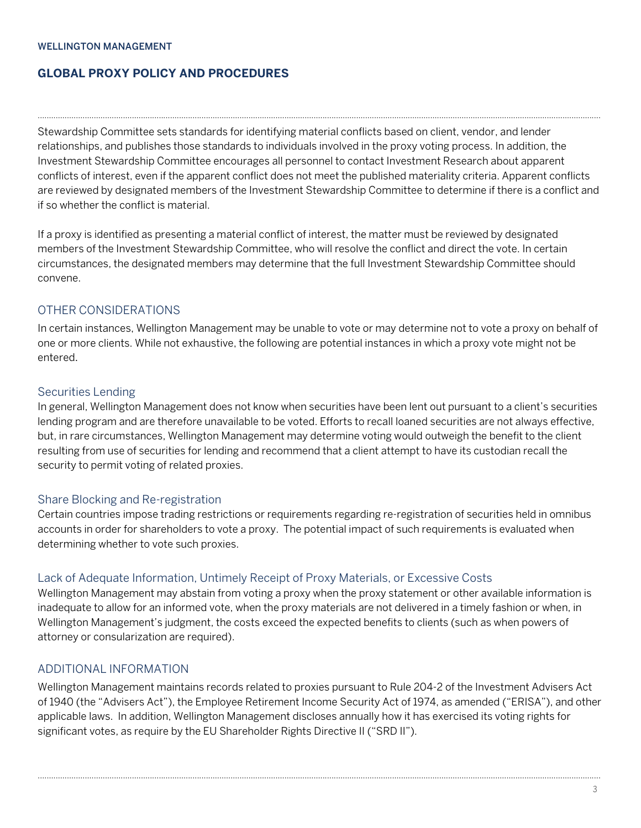#### WELLINGTON MANAGEMENT

# **GLOBAL PROXY POLICY AND PROCEDURES**

Stewardship Committee sets standards for identifying material conflicts based on client, vendor, and lender relationships, and publishes those standards to individuals involved in the proxy voting process. In addition, the Investment Stewardship Committee encourages all personnel to contact Investment Research about apparent conflicts of interest, even if the apparent conflict does not meet the published materiality criteria. Apparent conflicts are reviewed by designated members of the Investment Stewardship Committee to determine if there is a conflict and if so whether the conflict is material.

...........................................................................................................................................................................................................................................................

If a proxy is identified as presenting a material conflict of interest, the matter must be reviewed by designated members of the Investment Stewardship Committee, who will resolve the conflict and direct the vote. In certain circumstances, the designated members may determine that the full Investment Stewardship Committee should convene.

# OTHER CONSIDERATIONS

In certain instances, Wellington Management may be unable to vote or may determine not to vote a proxy on behalf of one or more clients. While not exhaustive, the following are potential instances in which a proxy vote might not be entered.

## Securities Lending

In general, Wellington Management does not know when securities have been lent out pursuant to a client's securities lending program and are therefore unavailable to be voted. Efforts to recall loaned securities are not always effective, but, in rare circumstances, Wellington Management may determine voting would outweigh the benefit to the client resulting from use of securities for lending and recommend that a client attempt to have its custodian recall the security to permit voting of related proxies.

## Share Blocking and Re-registration

Certain countries impose trading restrictions or requirements regarding re-registration of securities held in omnibus accounts in order for shareholders to vote a proxy. The potential impact of such requirements is evaluated when determining whether to vote such proxies.

## Lack of Adequate Information, Untimely Receipt of Proxy Materials, or Excessive Costs

Wellington Management may abstain from voting a proxy when the proxy statement or other available information is inadequate to allow for an informed vote, when the proxy materials are not delivered in a timely fashion or when, in Wellington Management's judgment, the costs exceed the expected benefits to clients (such as when powers of attorney or consularization are required).

## ADDITIONAL INFORMATION

Wellington Management maintains records related to proxies pursuant to Rule 204-2 of the Investment Advisers Act of 1940 (the "Advisers Act"), the Employee Retirement Income Security Act of 1974, as amended ("ERISA"), and other applicable laws. In addition, Wellington Management discloses annually how it has exercised its voting rights for significant votes, as require by the EU Shareholder Rights Directive II ("SRD II").

...........................................................................................................................................................................................................................................................